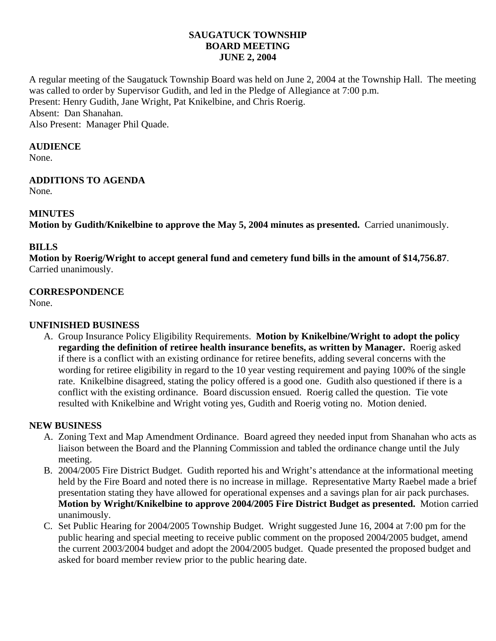### **SAUGATUCK TOWNSHIP BOARD MEETING JUNE 2, 2004**

A regular meeting of the Saugatuck Township Board was held on June 2, 2004 at the Township Hall. The meeting was called to order by Supervisor Gudith, and led in the Pledge of Allegiance at 7:00 p.m. Present: Henry Gudith, Jane Wright, Pat Knikelbine, and Chris Roerig. Absent: Dan Shanahan. Also Present: Manager Phil Quade.

#### **AUDIENCE**

None.

## **ADDITIONS TO AGENDA**

None*.*

## **MINUTES**

**Motion by Gudith/Knikelbine to approve the May 5, 2004 minutes as presented.** Carried unanimously.

## **BILLS**

**Motion by Roerig/Wright to accept general fund and cemetery fund bills in the amount of \$14,756.87**. Carried unanimously.

## **CORRESPONDENCE**

None.

## **UNFINISHED BUSINESS**

A. Group Insurance Policy Eligibility Requirements. **Motion by Knikelbine/Wright to adopt the policy regarding the definition of retiree health insurance benefits, as written by Manager.** Roerig asked if there is a conflict with an existing ordinance for retiree benefits, adding several concerns with the wording for retiree eligibility in regard to the 10 year vesting requirement and paying 100% of the single rate. Knikelbine disagreed, stating the policy offered is a good one. Gudith also questioned if there is a conflict with the existing ordinance. Board discussion ensued. Roerig called the question. Tie vote resulted with Knikelbine and Wright voting yes, Gudith and Roerig voting no. Motion denied.

### **NEW BUSINESS**

- A. Zoning Text and Map Amendment Ordinance. Board agreed they needed input from Shanahan who acts as liaison between the Board and the Planning Commission and tabled the ordinance change until the July meeting.
- B. 2004/2005 Fire District Budget. Gudith reported his and Wright's attendance at the informational meeting held by the Fire Board and noted there is no increase in millage. Representative Marty Raebel made a brief presentation stating they have allowed for operational expenses and a savings plan for air pack purchases. **Motion by Wright/Knikelbine to approve 2004/2005 Fire District Budget as presented.** Motion carried unanimously.
- C. Set Public Hearing for 2004/2005 Township Budget. Wright suggested June 16, 2004 at 7:00 pm for the public hearing and special meeting to receive public comment on the proposed 2004/2005 budget, amend the current 2003/2004 budget and adopt the 2004/2005 budget. Quade presented the proposed budget and asked for board member review prior to the public hearing date.